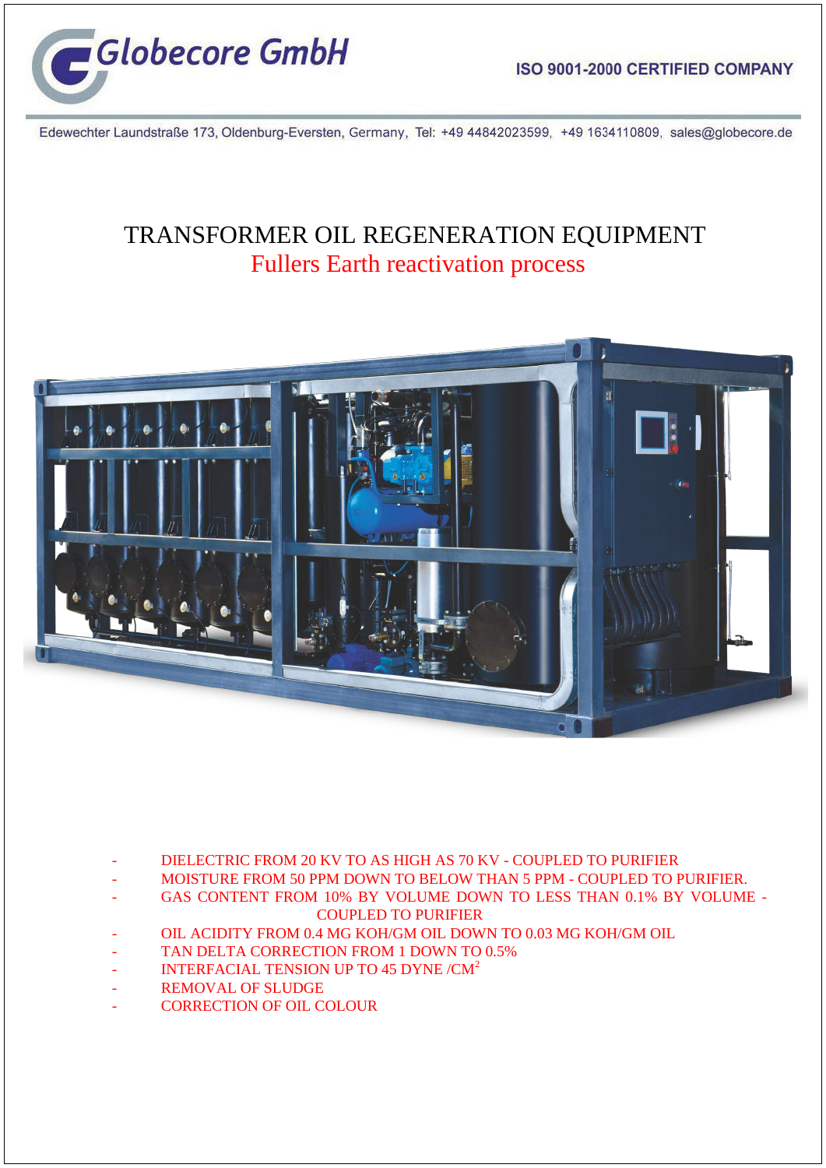

Edewechter Laundstraße 173, Oldenburg-Eversten, Germany, Tel: +49 44842023599, +49 1634110809, sales@globecore.de

## TRANSFORMER OIL REGENERATION EQUIPMENT Fullers Earth reactivation process



- DIELECTRIC FROM 20 KV TO AS HIGH AS 70 KV COUPLED TO PURIFIER
- MOISTURE FROM 50 PPM DOWN TO BELOW THAN 5 PPM COUPLED TO PURIFIER.
- GAS CONTENT FROM 10% BY VOLUME DOWN TO LESS THAN 0.1% BY VOLUME COUPLED TO PURIFIER
- OIL ACIDITY FROM 0.4 MG KOH/GM OIL DOWN TO 0.03 MG KOH/GM OIL
- TAN DELTA CORRECTION FROM 1 DOWN TO 0.5%
- INTERFACIAL TENSION UP TO 45 DYNE / CM<sup>2</sup>
- REMOVAL OF SLUDGE
- CORRECTION OF OIL COLOUR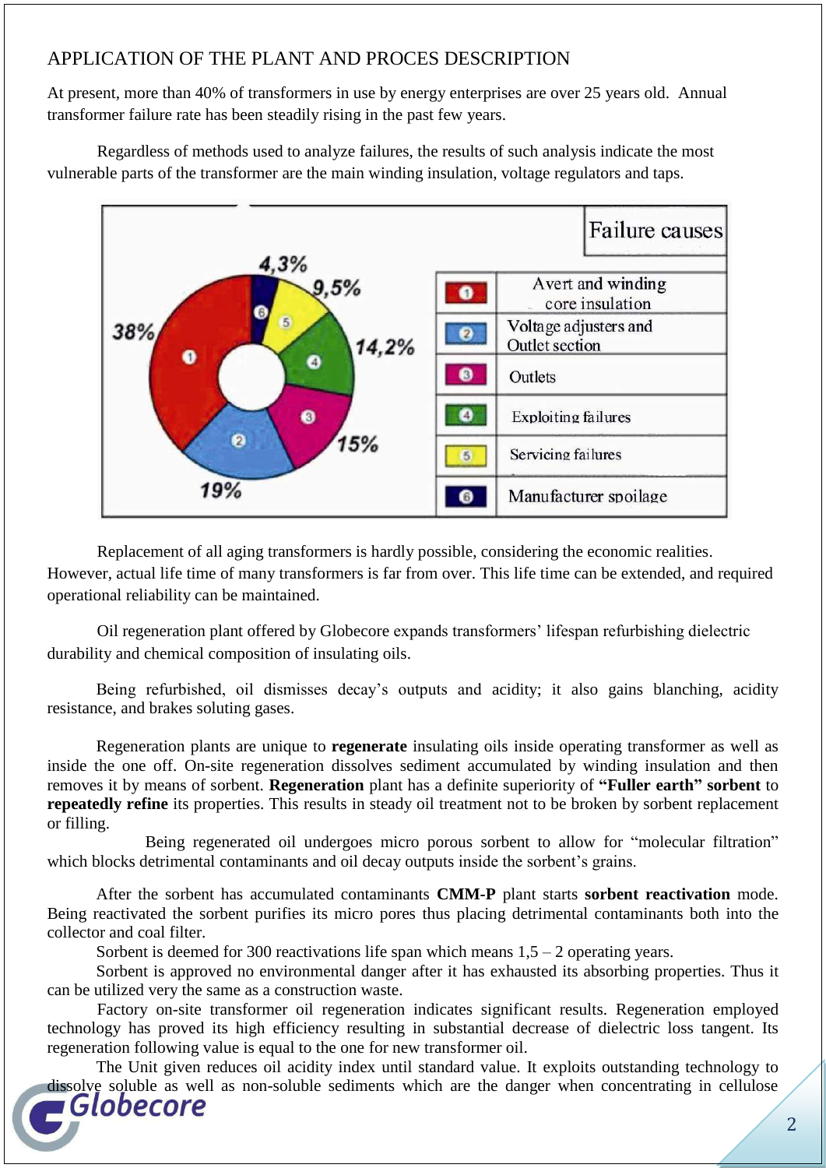## APPLICATION OF THE PLANT AND PROCES DESCRIPTION

At present, more than 40% of transformers in use by energy enterprises are over 25 years old. Annual transformer failure rate has been steadily rising in the past few years.

Regardless of methods used to analyze failures, the results of such analysis indicate the most vulnerable parts of the transformer are the main winding insulation, voltage regulators and taps.



Replacement of all aging transformers is hardly possible, considering the economic realities. However, actual life time of many transformers is far from over. This life time can be extended, and required operational reliability can be maintained.

Oil regeneration plant offered by Globecore expands transformers' lifespan refurbishing dielectric durability and chemical composition of insulating oils.

Being refurbished, oil dismisses decay's outputs and acidity; it also gains blanching, acidity resistance, and brakes soluting gases.

Regeneration plants are unique to **regenerate** insulating oils inside operating transformer as well as inside the one off. On-site regeneration dissolves sediment accumulated by winding insulation and then removes it by means of sorbent. **Regeneration** plant has a definite superiority of **"Fuller earth" sorbent** to **repeatedly refine** its properties. This results in steady oil treatment not to be broken by sorbent replacement or filling.

Being regenerated oil undergoes micro porous sorbent to allow for "molecular filtration" which blocks detrimental contaminants and oil decay outputs inside the sorbent's grains.

After the sorbent has accumulated contaminants **CMM-P** plant starts **sorbent reactivation** mode. Being reactivated the sorbent purifies its micro pores thus placing detrimental contaminants both into the collector and coal filter.

Sorbent is deemed for 300 reactivations life span which means  $1,5 - 2$  operating years.

Sorbent is approved no environmental danger after it has exhausted its absorbing properties. Thus it can be utilized very the same as a construction waste.

Factory on-site transformer oil regeneration indicates significant results. Regeneration employed technology has proved its high efficiency resulting in substantial decrease of dielectric loss tangent. Its regeneration following value is equal to the one for new transformer oil.

The Unit given reduces oil acidity index until standard value. It exploits outstanding technology to dissolve soluble as well as non-soluble sediments which are the danger when concentrating in cellulose